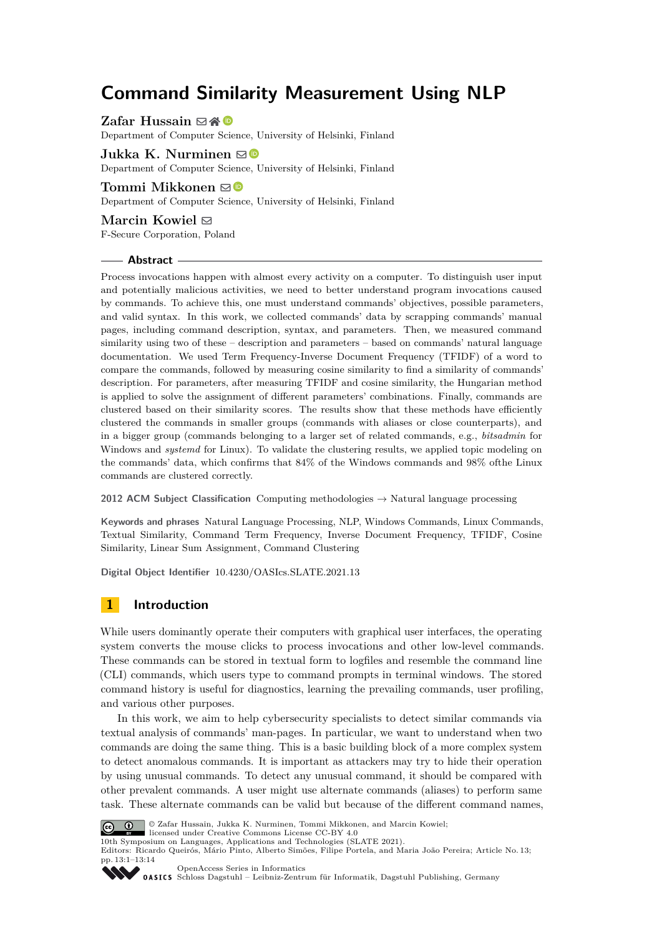# **Command Similarity Measurement Using NLP**

**Zafar Hussain** ⊠ 4 <sup>®</sup>

Department of Computer Science, University of Helsinki, Finland

### **Jukka K. Nurminen**  $\boxtimes$

Department of Computer Science, University of Helsinki, Finland

### **Tommi Mikkonen** ⊠<sup>®</sup>

Department of Computer Science, University of Helsinki, Finland

# **Marcin Kowiel** ⊠

F-Secure Corporation, Poland

#### **Abstract**

Process invocations happen with almost every activity on a computer. To distinguish user input and potentially malicious activities, we need to better understand program invocations caused by commands. To achieve this, one must understand commands' objectives, possible parameters, and valid syntax. In this work, we collected commands' data by scrapping commands' manual pages, including command description, syntax, and parameters. Then, we measured command similarity using two of these – description and parameters – based on commands' natural language documentation. We used Term Frequency-Inverse Document Frequency (TFIDF) of a word to compare the commands, followed by measuring cosine similarity to find a similarity of commands' description. For parameters, after measuring TFIDF and cosine similarity, the Hungarian method is applied to solve the assignment of different parameters' combinations. Finally, commands are clustered based on their similarity scores. The results show that these methods have efficiently clustered the commands in smaller groups (commands with aliases or close counterparts), and in a bigger group (commands belonging to a larger set of related commands, e.g., *bitsadmin* for Windows and *systemd* for Linux). To validate the clustering results, we applied topic modeling on the commands' data, which confirms that 84% of the Windows commands and 98% ofthe Linux commands are clustered correctly.

**2012 ACM Subject Classification** Computing methodologies → Natural language processing

**Keywords and phrases** Natural Language Processing, NLP, Windows Commands, Linux Commands, Textual Similarity, Command Term Frequency, Inverse Document Frequency, TFIDF, Cosine Similarity, Linear Sum Assignment, Command Clustering

**Digital Object Identifier** [10.4230/OASIcs.SLATE.2021.13](https://doi.org/10.4230/OASIcs.SLATE.2021.13)

# **1 Introduction**

While users dominantly operate their computers with graphical user interfaces, the operating system converts the mouse clicks to process invocations and other low-level commands. These commands can be stored in textual form to logfiles and resemble the command line (CLI) commands, which users type to command prompts in terminal windows. The stored command history is useful for diagnostics, learning the prevailing commands, user profiling, and various other purposes.

In this work, we aim to help cybersecurity specialists to detect similar commands via textual analysis of commands' man-pages. In particular, we want to understand when two commands are doing the same thing. This is a basic building block of a more complex system to detect anomalous commands. It is important as attackers may try to hide their operation by using unusual commands. To detect any unusual command, it should be compared with other prevalent commands. A user might use alternate commands (aliases) to perform same task. These alternate commands can be valid but because of the different command names,



© Zafar Hussain, Jukka K. Nurminen, Tommi Mikkonen, and Marcin Kowiel;

licensed under Creative Commons License CC-BY 4.0

10th Symposium on Languages, Applications and Technologies (SLATE 2021).

Editors: Ricardo Queirós, Mário Pinto, Alberto Simões, Filipe Portela, and Maria João Pereira; Article No. 13; pp. 13:1–13:14

[OpenAccess Series in Informatics](https://www.dagstuhl.de/oasics/)

OASICS [Schloss Dagstuhl – Leibniz-Zentrum für Informatik, Dagstuhl Publishing, Germany](https://www.dagstuhl.de)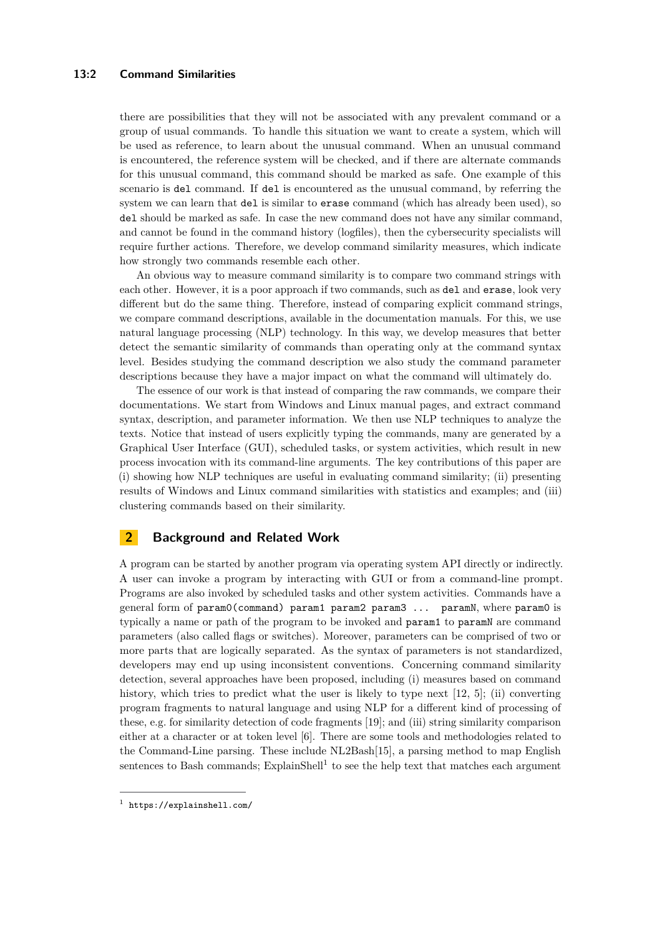#### **13:2 Command Similarities**

there are possibilities that they will not be associated with any prevalent command or a group of usual commands. To handle this situation we want to create a system, which will be used as reference, to learn about the unusual command. When an unusual command is encountered, the reference system will be checked, and if there are alternate commands for this unusual command, this command should be marked as safe. One example of this scenario is del command. If del is encountered as the unusual command, by referring the system we can learn that del is similar to erase command (which has already been used), so del should be marked as safe. In case the new command does not have any similar command, and cannot be found in the command history (logfiles), then the cybersecurity specialists will require further actions. Therefore, we develop command similarity measures, which indicate how strongly two commands resemble each other.

An obvious way to measure command similarity is to compare two command strings with each other. However, it is a poor approach if two commands, such as del and erase, look very different but do the same thing. Therefore, instead of comparing explicit command strings, we compare command descriptions, available in the documentation manuals. For this, we use natural language processing (NLP) technology. In this way, we develop measures that better detect the semantic similarity of commands than operating only at the command syntax level. Besides studying the command description we also study the command parameter descriptions because they have a major impact on what the command will ultimately do.

The essence of our work is that instead of comparing the raw commands, we compare their documentations. We start from Windows and Linux manual pages, and extract command syntax, description, and parameter information. We then use NLP techniques to analyze the texts. Notice that instead of users explicitly typing the commands, many are generated by a Graphical User Interface (GUI), scheduled tasks, or system activities, which result in new process invocation with its command-line arguments. The key contributions of this paper are (i) showing how NLP techniques are useful in evaluating command similarity; (ii) presenting results of Windows and Linux command similarities with statistics and examples; and (iii) clustering commands based on their similarity.

# **2 Background and Related Work**

A program can be started by another program via operating system API directly or indirectly. A user can invoke a program by interacting with GUI or from a command-line prompt. Programs are also invoked by scheduled tasks and other system activities. Commands have a general form of param0(command) param1 param2 param3 ... paramN, where param0 is typically a name or path of the program to be invoked and param1 to paramN are command parameters (also called flags or switches). Moreover, parameters can be comprised of two or more parts that are logically separated. As the syntax of parameters is not standardized, developers may end up using inconsistent conventions. Concerning command similarity detection, several approaches have been proposed, including (i) measures based on command history, which tries to predict what the user is likely to type next  $[12, 5]$  $[12, 5]$  $[12, 5]$ ; (ii) converting program fragments to natural language and using NLP for a different kind of processing of these, e.g. for similarity detection of code fragments [\[19\]](#page-13-1); and (iii) string similarity comparison either at a character or at token level [\[6\]](#page-12-1). There are some tools and methodologies related to the Command-Line parsing. These include NL2Bash[\[15\]](#page-13-2), a parsing method to map English sentences to Bash commands;  $ExplainShell<sup>1</sup>$  $ExplainShell<sup>1</sup>$  $ExplainShell<sup>1</sup>$  to see the help text that matches each argument

<span id="page-1-0"></span><sup>1</sup> <https://explainshell.com/>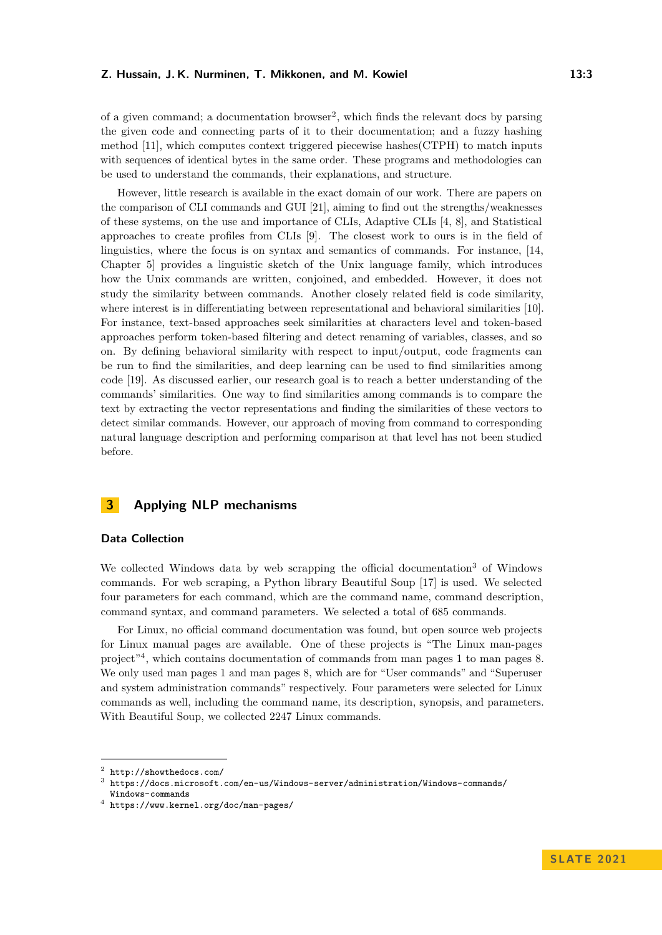of a given command; a documentation browser<sup>[2](#page-2-0)</sup>, which finds the relevant docs by parsing the given code and connecting parts of it to their documentation; and a fuzzy hashing method [\[11\]](#page-13-3), which computes context triggered piecewise hashes(CTPH) to match inputs with sequences of identical bytes in the same order. These programs and methodologies can be used to understand the commands, their explanations, and structure.

However, little research is available in the exact domain of our work. There are papers on the comparison of CLI commands and GUI [\[21\]](#page-13-4), aiming to find out the strengths/weaknesses of these systems, on the use and importance of CLIs, Adaptive CLIs [\[4,](#page-12-2) [8\]](#page-12-3), and Statistical approaches to create profiles from CLIs [\[9\]](#page-13-5). The closest work to ours is in the field of linguistics, where the focus is on syntax and semantics of commands. For instance, [\[14,](#page-13-6) Chapter 5] provides a linguistic sketch of the Unix language family, which introduces how the Unix commands are written, conjoined, and embedded. However, it does not study the similarity between commands. Another closely related field is code similarity, where interest is in differentiating between representational and behavioral similarities [\[10\]](#page-13-7). For instance, text-based approaches seek similarities at characters level and token-based approaches perform token-based filtering and detect renaming of variables, classes, and so on. By defining behavioral similarity with respect to input/output, code fragments can be run to find the similarities, and deep learning can be used to find similarities among code [\[19\]](#page-13-1). As discussed earlier, our research goal is to reach a better understanding of the commands' similarities. One way to find similarities among commands is to compare the text by extracting the vector representations and finding the similarities of these vectors to detect similar commands. However, our approach of moving from command to corresponding natural language description and performing comparison at that level has not been studied before.

# **3 Applying NLP mechanisms**

# **Data Collection**

We collected Windows data by web scrapping the official documentation<sup>[3](#page-2-1)</sup> of Windows commands. For web scraping, a Python library Beautiful Soup [\[17\]](#page-13-8) is used. We selected four parameters for each command, which are the command name, command description, command syntax, and command parameters. We selected a total of 685 commands.

For Linux, no official command documentation was found, but open source web projects for Linux manual pages are available. One of these projects is "The Linux man-pages project"[4](#page-2-2) , which contains documentation of commands from man pages 1 to man pages 8. We only used man pages 1 and man pages 8, which are for "User commands" and "Superuser and system administration commands" respectively. Four parameters were selected for Linux commands as well, including the command name, its description, synopsis, and parameters. With Beautiful Soup, we collected 2247 Linux commands.

<span id="page-2-0"></span> $2$  <http://showthedocs.com/>

<span id="page-2-1"></span> $^3$  [https://docs.microsoft.com/en-us/Windows-server/administration/Windows-commands/](https://docs.microsoft.com/en-us/Windows-server/administration/Windows-commands/Windows-commands) [Windows-commands](https://docs.microsoft.com/en-us/Windows-server/administration/Windows-commands/Windows-commands)

<span id="page-2-2"></span> $^4$  <https://www.kernel.org/doc/man-pages/>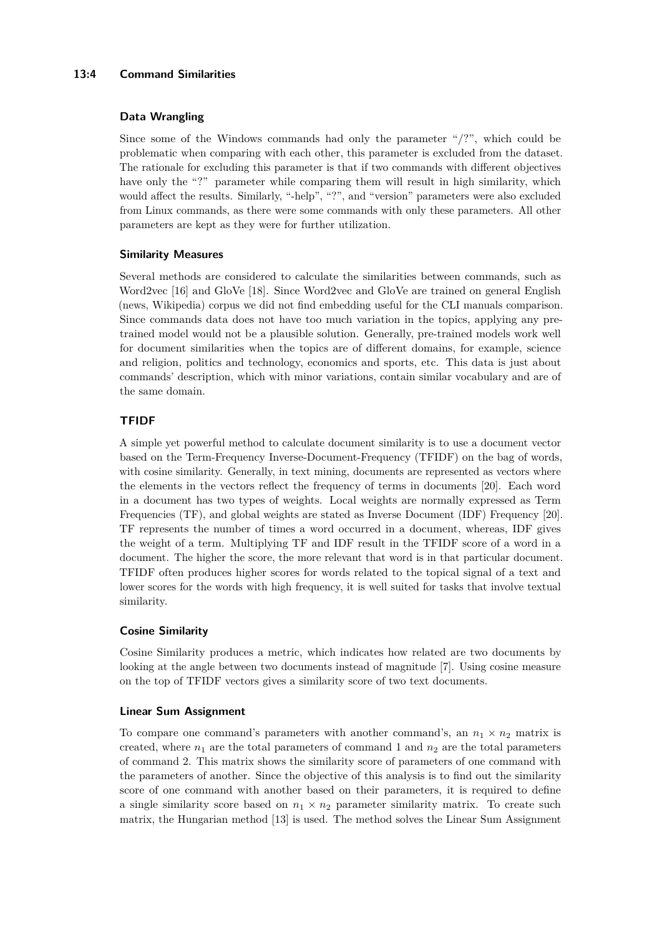# **13:4 Command Similarities**

### **Data Wrangling**

Since some of the Windows commands had only the parameter " $\frac{1}{2}$ ", which could be problematic when comparing with each other, this parameter is excluded from the dataset. The rationale for excluding this parameter is that if two commands with different objectives have only the "?" parameter while comparing them will result in high similarity, which would affect the results. Similarly, "-help", "?", and "version" parameters were also excluded from Linux commands, as there were some commands with only these parameters. All other parameters are kept as they were for further utilization.

# **Similarity Measures**

Several methods are considered to calculate the similarities between commands, such as Word2vec [\[16\]](#page-13-9) and GloVe [\[18\]](#page-13-10). Since Word2vec and GloVe are trained on general English (news, Wikipedia) corpus we did not find embedding useful for the CLI manuals comparison. Since commands data does not have too much variation in the topics, applying any pretrained model would not be a plausible solution. Generally, pre-trained models work well for document similarities when the topics are of different domains, for example, science and religion, politics and technology, economics and sports, etc. This data is just about commands' description, which with minor variations, contain similar vocabulary and are of the same domain.

# **TFIDF**

A simple yet powerful method to calculate document similarity is to use a document vector based on the Term-Frequency Inverse-Document-Frequency (TFIDF) on the bag of words, with cosine similarity. Generally, in text mining, documents are represented as vectors where the elements in the vectors reflect the frequency of terms in documents [\[20\]](#page-13-11). Each word in a document has two types of weights. Local weights are normally expressed as Term Frequencies (TF), and global weights are stated as Inverse Document (IDF) Frequency [\[20\]](#page-13-11). TF represents the number of times a word occurred in a document, whereas, IDF gives the weight of a term. Multiplying TF and IDF result in the TFIDF score of a word in a document. The higher the score, the more relevant that word is in that particular document. TFIDF often produces higher scores for words related to the topical signal of a text and lower scores for the words with high frequency, it is well suited for tasks that involve textual similarity.

# **Cosine Similarity**

Cosine Similarity produces a metric, which indicates how related are two documents by looking at the angle between two documents instead of magnitude [\[7\]](#page-12-4). Using cosine measure on the top of TFIDF vectors gives a similarity score of two text documents.

# **Linear Sum Assignment**

To compare one command's parameters with another command's, an  $n_1 \times n_2$  matrix is created, where  $n_1$  are the total parameters of command 1 and  $n_2$  are the total parameters of command 2. This matrix shows the similarity score of parameters of one command with the parameters of another. Since the objective of this analysis is to find out the similarity score of one command with another based on their parameters, it is required to define a single similarity score based on  $n_1 \times n_2$  parameter similarity matrix. To create such matrix, the Hungarian method [\[13\]](#page-13-12) is used. The method solves the Linear Sum Assignment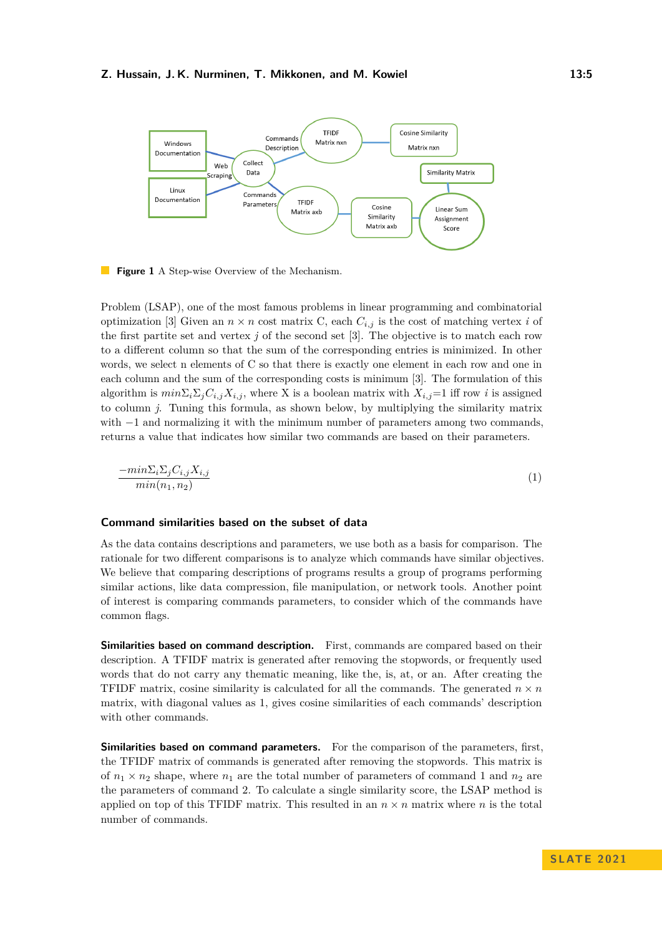

**Figure 1** A Step-wise Overview of the Mechanism.

Problem (LSAP), one of the most famous problems in linear programming and combinatorial optimization [\[3\]](#page-12-5) Given an  $n \times n$  cost matrix C, each  $C_{i,j}$  is the cost of matching vertex *i* of the first partite set and vertex *j* of the second set [\[3\]](#page-12-5). The objective is to match each row to a different column so that the sum of the corresponding entries is minimized. In other words, we select n elements of C so that there is exactly one element in each row and one in each column and the sum of the corresponding costs is minimum [\[3\]](#page-12-5). The formulation of this algorithm is  $min\sum_i\sum_jC_{i,j}X_{i,j}$ , where X is a boolean matrix with  $X_{i,j}=1$  iff row *i* is assigned to column *j*. Tuning this formula, as shown below, by multiplying the similarity matrix with −1 and normalizing it with the minimum number of parameters among two commands, returns a value that indicates how similar two commands are based on their parameters.

$$
\frac{-\min\Sigma_i\Sigma_jC_{i,j}X_{i,j}}{\min(n_1, n_2)}\tag{1}
$$

#### **Command similarities based on the subset of data**

As the data contains descriptions and parameters, we use both as a basis for comparison. The rationale for two different comparisons is to analyze which commands have similar objectives. We believe that comparing descriptions of programs results a group of programs performing similar actions, like data compression, file manipulation, or network tools. Another point of interest is comparing commands parameters, to consider which of the commands have common flags.

**Similarities based on command description.** First, commands are compared based on their description. A TFIDF matrix is generated after removing the stopwords, or frequently used words that do not carry any thematic meaning, like the, is, at, or an. After creating the TFIDF matrix, cosine similarity is calculated for all the commands. The generated  $n \times n$ matrix, with diagonal values as 1, gives cosine similarities of each commands' description with other commands.

**Similarities based on command parameters.** For the comparison of the parameters, first, the TFIDF matrix of commands is generated after removing the stopwords. This matrix is of  $n_1 \times n_2$  shape, where  $n_1$  are the total number of parameters of command 1 and  $n_2$  are the parameters of command 2. To calculate a single similarity score, the LSAP method is applied on top of this TFIDF matrix. This resulted in an  $n \times n$  matrix where *n* is the total number of commands.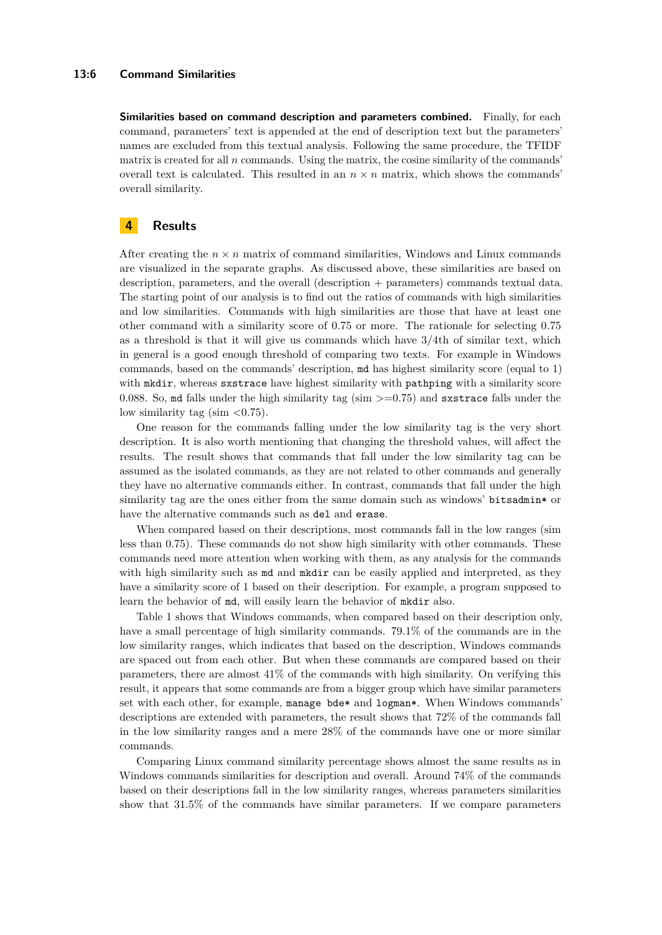#### **13:6 Command Similarities**

**Similarities based on command description and parameters combined.** Finally, for each command, parameters' text is appended at the end of description text but the parameters' names are excluded from this textual analysis. Following the same procedure, the TFIDF matrix is created for all  $n$  commands. Using the matrix, the cosine similarity of the commands' overall text is calculated. This resulted in an  $n \times n$  matrix, which shows the commands' overall similarity.

# **4 Results**

After creating the  $n \times n$  matrix of command similarities, Windows and Linux commands are visualized in the separate graphs. As discussed above, these similarities are based on description, parameters, and the overall (description + parameters) commands textual data. The starting point of our analysis is to find out the ratios of commands with high similarities and low similarities. Commands with high similarities are those that have at least one other command with a similarity score of 0.75 or more. The rationale for selecting 0.75 as a threshold is that it will give us commands which have 3/4th of similar text, which in general is a good enough threshold of comparing two texts. For example in Windows commands, based on the commands' description, md has highest similarity score (equal to 1) with mkdir, whereas sxstrace have highest similarity with pathping with a similarity score 0.088. So, md falls under the high similarity tag (sim *>*=0.75) and sxstrace falls under the low similarity tag (sim *<*0.75).

One reason for the commands falling under the low similarity tag is the very short description. It is also worth mentioning that changing the threshold values, will affect the results. The result shows that commands that fall under the low similarity tag can be assumed as the isolated commands, as they are not related to other commands and generally they have no alternative commands either. In contrast, commands that fall under the high similarity tag are the ones either from the same domain such as windows' bitsadmin\* or have the alternative commands such as del and erase.

When compared based on their descriptions, most commands fall in the low ranges (sim less than 0.75). These commands do not show high similarity with other commands. These commands need more attention when working with them, as any analysis for the commands with high similarity such as  $md$  and  $md$  mkdir can be easily applied and interpreted, as they have a similarity score of 1 based on their description. For example, a program supposed to learn the behavior of md, will easily learn the behavior of mkdir also.

Table [1](#page-6-0) shows that Windows commands, when compared based on their description only, have a small percentage of high similarity commands. 79.1% of the commands are in the low similarity ranges, which indicates that based on the description, Windows commands are spaced out from each other. But when these commands are compared based on their parameters, there are almost 41% of the commands with high similarity. On verifying this result, it appears that some commands are from a bigger group which have similar parameters set with each other, for example, manage bde\* and logman\*. When Windows commands' descriptions are extended with parameters, the result shows that 72% of the commands fall in the low similarity ranges and a mere 28% of the commands have one or more similar commands.

Comparing Linux command similarity percentage shows almost the same results as in Windows commands similarities for description and overall. Around 74% of the commands based on their descriptions fall in the low similarity ranges, whereas parameters similarities show that 31.5% of the commands have similar parameters. If we compare parameters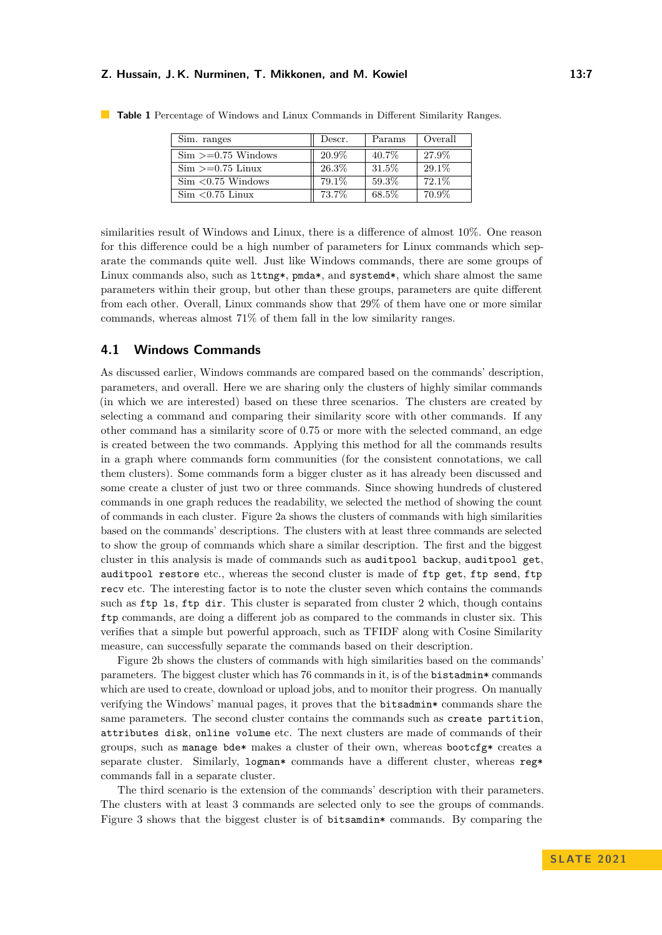| Sim. ranges                     | Descr. | Params | Overall |
|---------------------------------|--------|--------|---------|
| $\mathrm{Sim} > = 0.75$ Windows | 20.9%  | 40.7%  | 27.9%   |
| $\mathrm{Sim} > = 0.75$ Linux   | 26.3%  | 31.5%  | 29.1%   |
| $Sim < 0.75$ Windows            | 79.1\% | 59.3%  | 72.1%   |
| $Sim < 0.75$ Linux              | 73.7%  | 68.5%  | 70.9%   |
|                                 |        |        |         |

<span id="page-6-0"></span>**Table 1** Percentage of Windows and Linux Commands in Different Similarity Ranges.

similarities result of Windows and Linux, there is a difference of almost 10%. One reason for this difference could be a high number of parameters for Linux commands which separate the commands quite well. Just like Windows commands, there are some groups of Linux commands also, such as  $l$ ttng\*, pmda\*, and systemd\*, which share almost the same parameters within their group, but other than these groups, parameters are quite different from each other. Overall, Linux commands show that 29% of them have one or more similar commands, whereas almost 71% of them fall in the low similarity ranges.

# **4.1 Windows Commands**

As discussed earlier, Windows commands are compared based on the commands' description, parameters, and overall. Here we are sharing only the clusters of highly similar commands (in which we are interested) based on these three scenarios. The clusters are created by selecting a command and comparing their similarity score with other commands. If any other command has a similarity score of 0.75 or more with the selected command, an edge is created between the two commands. Applying this method for all the commands results in a graph where commands form communities (for the consistent connotations, we call them clusters). Some commands form a bigger cluster as it has already been discussed and some create a cluster of just two or three commands. Since showing hundreds of clustered commands in one graph reduces the readability, we selected the method of showing the count of commands in each cluster. Figure [2a](#page-7-0) shows the clusters of commands with high similarities based on the commands' descriptions. The clusters with at least three commands are selected to show the group of commands which share a similar description. The first and the biggest cluster in this analysis is made of commands such as auditpool backup, auditpool get, auditpool restore etc., whereas the second cluster is made of ftp get, ftp send, ftp recv etc. The interesting factor is to note the cluster seven which contains the commands such as ftp 1s, ftp dir. This cluster is separated from cluster 2 which, though contains ftp commands, are doing a different job as compared to the commands in cluster six. This verifies that a simple but powerful approach, such as TFIDF along with Cosine Similarity measure, can successfully separate the commands based on their description.

Figure [2b](#page-7-0) shows the clusters of commands with high similarities based on the commands' parameters. The biggest cluster which has 76 commands in it, is of the bistadmin\* commands which are used to create, download or upload jobs, and to monitor their progress. On manually verifying the Windows' manual pages, it proves that the bitsadmin\* commands share the same parameters. The second cluster contains the commands such as create partition, attributes disk, online volume etc. The next clusters are made of commands of their groups, such as manage bde\* makes a cluster of their own, whereas bootcfg\* creates a separate cluster. Similarly, logman\* commands have a different cluster, whereas  $\text{reg*}$ commands fall in a separate cluster.

The third scenario is the extension of the commands' description with their parameters. The clusters with at least 3 commands are selected only to see the groups of commands. Figure [3](#page-7-1) shows that the biggest cluster is of bitsamdin\* commands. By comparing the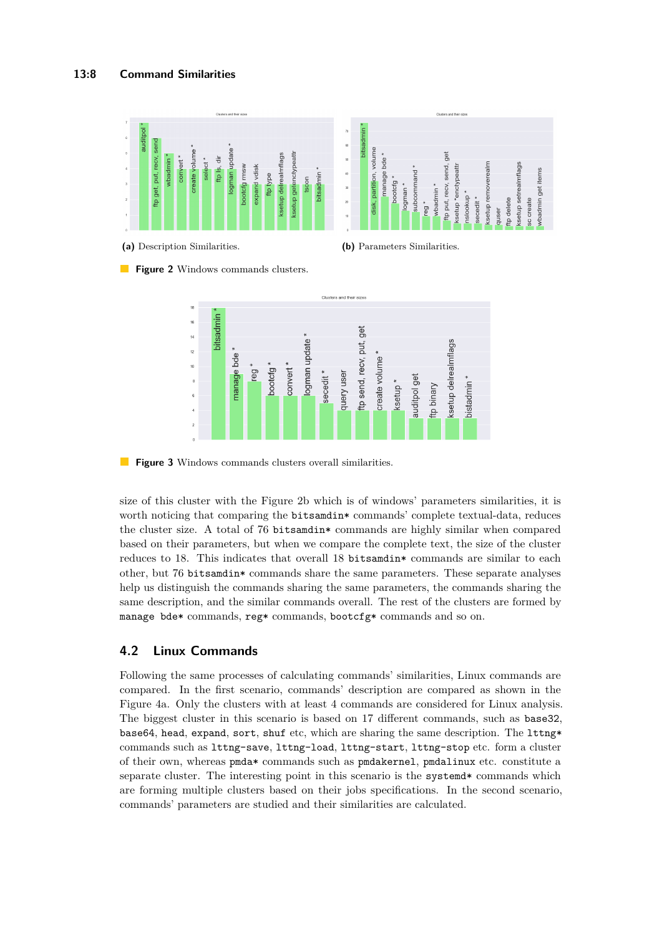### **13:8 Command Similarities**

<span id="page-7-0"></span>

<span id="page-7-1"></span>**Figure 2** Windows commands clusters.



**Figure 3** Windows commands clusters overall similarities.

size of this cluster with the Figure [2b](#page-7-0) which is of windows' parameters similarities, it is worth noticing that comparing the bitsamdin\* commands' complete textual-data, reduces the cluster size. A total of 76 bitsamdin\* commands are highly similar when compared based on their parameters, but when we compare the complete text, the size of the cluster reduces to 18. This indicates that overall 18 bitsamdin\* commands are similar to each other, but 76 bitsamdin\* commands share the same parameters. These separate analyses help us distinguish the commands sharing the same parameters, the commands sharing the same description, and the similar commands overall. The rest of the clusters are formed by manage bde\* commands, reg\* commands, bootcfg\* commands and so on.

# **4.2 Linux Commands**

Following the same processes of calculating commands' similarities, Linux commands are compared. In the first scenario, commands' description are compared as shown in the Figure [4a.](#page-8-0) Only the clusters with at least 4 commands are considered for Linux analysis. The biggest cluster in this scenario is based on 17 different commands, such as base32, base64, head, expand, sort, shuf etc, which are sharing the same description. The lttng\* commands such as lttng-save, lttng-load, lttng-start, lttng-stop etc. form a cluster of their own, whereas pmda\* commands such as pmdakernel, pmdalinux etc. constitute a separate cluster. The interesting point in this scenario is the system of commands which are forming multiple clusters based on their jobs specifications. In the second scenario, commands' parameters are studied and their similarities are calculated.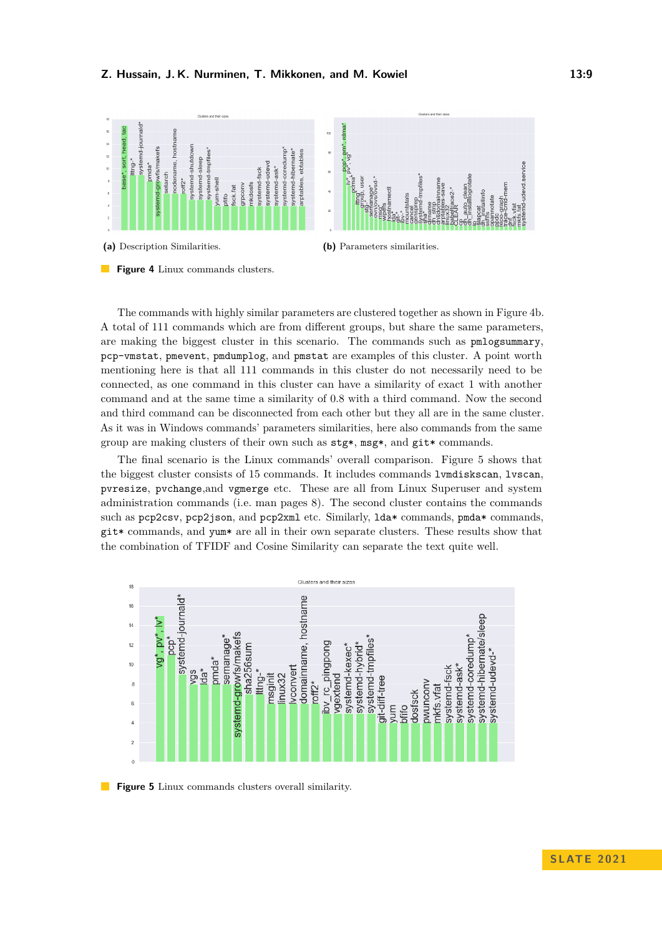<span id="page-8-0"></span>

The commands with highly similar parameters are clustered together as shown in Figure [4b.](#page-8-0) A total of 111 commands which are from different groups, but share the same parameters, are making the biggest cluster in this scenario. The commands such as pmlogsummary, pcp-vmstat, pmevent, pmdumplog, and pmstat are examples of this cluster. A point worth mentioning here is that all 111 commands in this cluster do not necessarily need to be connected, as one command in this cluster can have a similarity of exact 1 with another command and at the same time a similarity of 0.8 with a third command. Now the second and third command can be disconnected from each other but they all are in the same cluster. As it was in Windows commands' parameters similarities, here also commands from the same group are making clusters of their own such as stg\*, msg\*, and git\* commands.

The final scenario is the Linux commands' overall comparison. Figure [5](#page-8-1) shows that the biggest cluster consists of 15 commands. It includes commands lvmdiskscan, lvscan, pvresize, pvchange,and vgmerge etc. These are all from Linux Superuser and system administration commands (i.e. man pages 8). The second cluster contains the commands such as pcp2csv, pcp2json, and pcp2xml etc. Similarly,  $lda*$  commands, pmda\* commands, git\* commands, and yum\* are all in their own separate clusters. These results show that the combination of TFIDF and Cosine Similarity can separate the text quite well.

<span id="page-8-1"></span>

**Figure 5** Linux commands clusters overall similarity.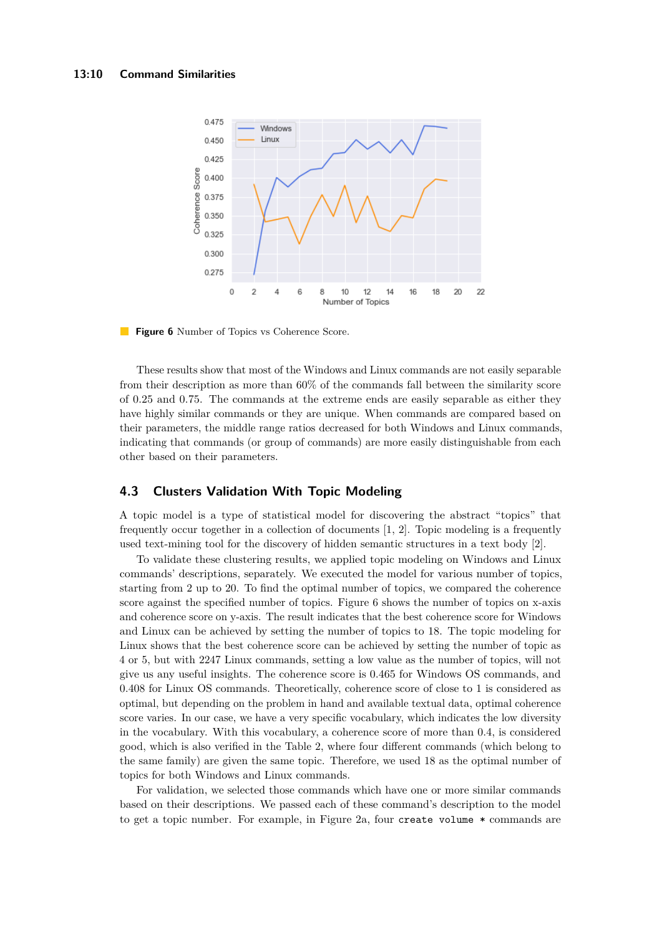<span id="page-9-0"></span>

**Figure 6** Number of Topics vs Coherence Score.

These results show that most of the Windows and Linux commands are not easily separable from their description as more than 60% of the commands fall between the similarity score of 0.25 and 0.75. The commands at the extreme ends are easily separable as either they have highly similar commands or they are unique. When commands are compared based on their parameters, the middle range ratios decreased for both Windows and Linux commands, indicating that commands (or group of commands) are more easily distinguishable from each other based on their parameters.

# **4.3 Clusters Validation With Topic Modeling**

A topic model is a type of statistical model for discovering the abstract "topics" that frequently occur together in a collection of documents [\[1,](#page-12-6) [2\]](#page-12-7). Topic modeling is a frequently used text-mining tool for the discovery of hidden semantic structures in a text body [\[2\]](#page-12-7).

To validate these clustering results, we applied topic modeling on Windows and Linux commands' descriptions, separately. We executed the model for various number of topics, starting from 2 up to 20. To find the optimal number of topics, we compared the coherence score against the specified number of topics. Figure [6](#page-9-0) shows the number of topics on x-axis and coherence score on y-axis. The result indicates that the best coherence score for Windows and Linux can be achieved by setting the number of topics to 18. The topic modeling for Linux shows that the best coherence score can be achieved by setting the number of topic as 4 or 5, but with 2247 Linux commands, setting a low value as the number of topics, will not give us any useful insights. The coherence score is 0.465 for Windows OS commands, and 0.408 for Linux OS commands. Theoretically, coherence score of close to 1 is considered as optimal, but depending on the problem in hand and available textual data, optimal coherence score varies. In our case, we have a very specific vocabulary, which indicates the low diversity in the vocabulary. With this vocabulary, a coherence score of more than 0.4, is considered good, which is also verified in the Table [2,](#page-10-0) where four different commands (which belong to the same family) are given the same topic. Therefore, we used 18 as the optimal number of topics for both Windows and Linux commands.

For validation, we selected those commands which have one or more similar commands based on their descriptions. We passed each of these command's description to the model to get a topic number. For example, in Figure [2a,](#page-7-0) four create volume \* commands are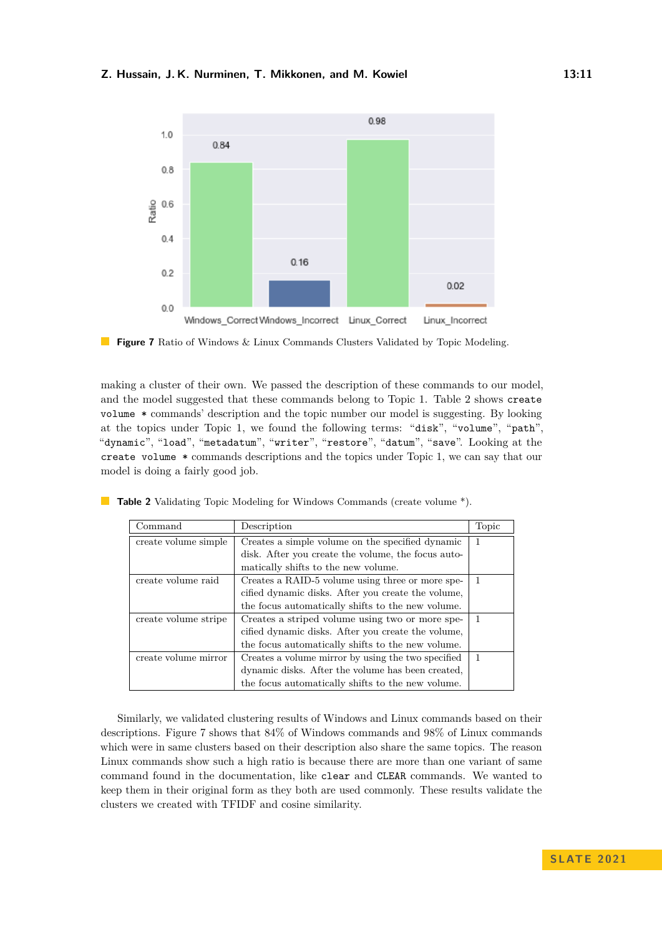<span id="page-10-1"></span>

**Figure 7** Ratio of Windows & Linux Commands Clusters Validated by Topic Modeling.

making a cluster of their own. We passed the description of these commands to our model, and the model suggested that these commands belong to Topic 1. Table [2](#page-10-0) shows create volume \* commands' description and the topic number our model is suggesting. By looking at the topics under Topic 1, we found the following terms: "disk", "volume", "path", "dynamic", "load", "metadatum", "writer", "restore", "datum", "save". Looking at the create volume \* commands descriptions and the topics under Topic 1, we can say that our model is doing a fairly good job.

| Command              | Description                                        | Topic |
|----------------------|----------------------------------------------------|-------|
| create volume simple | Creates a simple volume on the specified dynamic   | 1     |
|                      | disk. After you create the volume, the focus auto- |       |
|                      | matically shifts to the new volume.                |       |
| create volume raid   | Creates a RAID-5 volume using three or more spe-   | 1     |
|                      | cified dynamic disks. After you create the volume, |       |
|                      | the focus automatically shifts to the new volume.  |       |
| create volume stripe | Creates a striped volume using two or more spe-    | 1     |
|                      | cified dynamic disks. After you create the volume, |       |
|                      | the focus automatically shifts to the new volume.  |       |
| create volume mirror | Creates a volume mirror by using the two specified | 1     |
|                      | dynamic disks. After the volume has been created,  |       |
|                      | the focus automatically shifts to the new volume.  |       |

<span id="page-10-0"></span>**Table 2** Validating Topic Modeling for Windows Commands (create volume \*).

Similarly, we validated clustering results of Windows and Linux commands based on their descriptions. Figure [7](#page-10-1) shows that 84% of Windows commands and 98% of Linux commands which were in same clusters based on their description also share the same topics. The reason Linux commands show such a high ratio is because there are more than one variant of same command found in the documentation, like clear and CLEAR commands. We wanted to keep them in their original form as they both are used commonly. These results validate the clusters we created with TFIDF and cosine similarity.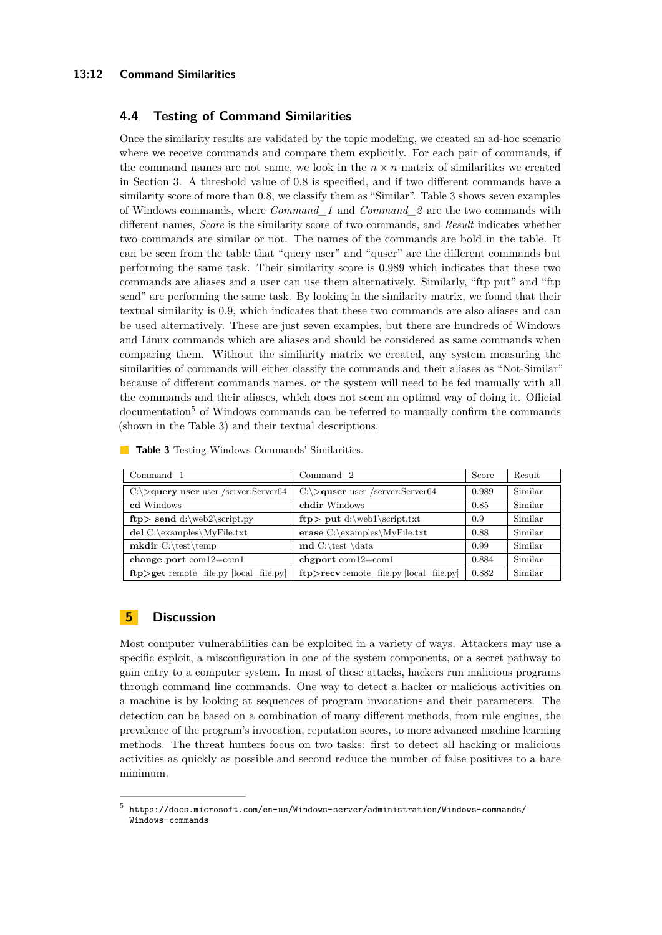# **13:12 Command Similarities**

# **4.4 Testing of Command Similarities**

Once the similarity results are validated by the topic modeling, we created an ad-hoc scenario where we receive commands and compare them explicitly. For each pair of commands, if the command names are not same, we look in the  $n \times n$  matrix of similarities we created in Section 3. A threshold value of 0.8 is specified, and if two different commands have a similarity score of more than 0.8, we classify them as "Similar". Table [3](#page-11-0) shows seven examples of Windows commands, where *Command\_1* and *Command\_2* are the two commands with different names, *Score* is the similarity score of two commands, and *Result* indicates whether two commands are similar or not. The names of the commands are bold in the table. It can be seen from the table that "query user" and "quser" are the different commands but performing the same task. Their similarity score is 0.989 which indicates that these two commands are aliases and a user can use them alternatively. Similarly, "ftp put" and "ftp send" are performing the same task. By looking in the similarity matrix, we found that their textual similarity is 0.9, which indicates that these two commands are also aliases and can be used alternatively. These are just seven examples, but there are hundreds of Windows and Linux commands which are aliases and should be considered as same commands when comparing them. Without the similarity matrix we created, any system measuring the similarities of commands will either classify the commands and their aliases as "Not-Similar" because of different commands names, or the system will need to be fed manually with all the commands and their aliases, which does not seem an optimal way of doing it. Official documentation<sup>[5](#page-11-1)</sup> of Windows commands can be referred to manually confirm the commands (shown in the Table [3\)](#page-11-0) and their textual descriptions.

| Command 1                                               | Command 2                                 | Score | Result  |
|---------------------------------------------------------|-------------------------------------------|-------|---------|
| $C:\rightarrow$ <b>query user</b> user /server:Server64 | $C:\rangle$ quser user /server: Server64  | 0.989 | Similar |
| cd Windows                                              | chdir Windows                             | 0.85  | Similar |
| $ftp$ send d:\web2\script.py                            | $ftp$ put d:\web1\script.txt              | 0.9   | Similar |
| del $C:\exp\cos\MyFile.txt$                             | erase C:\examples\MyFile.txt              | 0.88  | Similar |
| $m$ kdir C:\test\temp                                   | $\mathbf{C}:\text{data}$                  | 0.99  | Similar |
| change port $com12=com1$                                | chgport $\text{com12}=\text{com1}$        | 0.884 | Similar |
| $ftp > get$ remote_file.py [local_file.py]              | $ftp>recv$ remote file.py [local file.py] | 0.882 | Similar |

<span id="page-11-0"></span>**Table 3** Testing Windows Commands' Similarities.

# **5 Discussion**

Most computer vulnerabilities can be exploited in a variety of ways. Attackers may use a specific exploit, a misconfiguration in one of the system components, or a secret pathway to gain entry to a computer system. In most of these attacks, hackers run malicious programs through command line commands. One way to detect a hacker or malicious activities on a machine is by looking at sequences of program invocations and their parameters. The detection can be based on a combination of many different methods, from rule engines, the prevalence of the program's invocation, reputation scores, to more advanced machine learning methods. The threat hunters focus on two tasks: first to detect all hacking or malicious activities as quickly as possible and second reduce the number of false positives to a bare minimum.

<span id="page-11-1"></span> $^5$ [https://docs.microsoft.com/en-us/Windows-server/administration/Windows-commands/](https://docs.microsoft.com/en-us/Windows-server/administration/Windows-commands/Windows-commands) [Windows-commands](https://docs.microsoft.com/en-us/Windows-server/administration/Windows-commands/Windows-commands)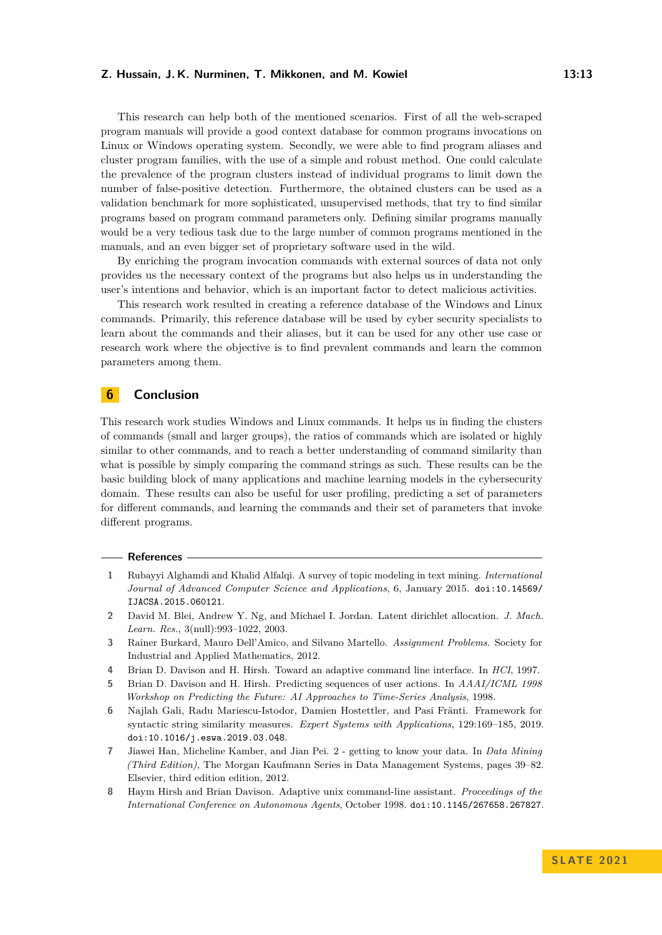This research can help both of the mentioned scenarios. First of all the web-scraped program manuals will provide a good context database for common programs invocations on Linux or Windows operating system. Secondly, we were able to find program aliases and cluster program families, with the use of a simple and robust method. One could calculate the prevalence of the program clusters instead of individual programs to limit down the number of false-positive detection. Furthermore, the obtained clusters can be used as a validation benchmark for more sophisticated, unsupervised methods, that try to find similar programs based on program command parameters only. Defining similar programs manually would be a very tedious task due to the large number of common programs mentioned in the manuals, and an even bigger set of proprietary software used in the wild.

By enriching the program invocation commands with external sources of data not only provides us the necessary context of the programs but also helps us in understanding the user's intentions and behavior, which is an important factor to detect malicious activities.

This research work resulted in creating a reference database of the Windows and Linux commands. Primarily, this reference database will be used by cyber security specialists to learn about the commands and their aliases, but it can be used for any other use case or research work where the objective is to find prevalent commands and learn the common parameters among them.

# **6 Conclusion**

This research work studies Windows and Linux commands. It helps us in finding the clusters of commands (small and larger groups), the ratios of commands which are isolated or highly similar to other commands, and to reach a better understanding of command similarity than what is possible by simply comparing the command strings as such. These results can be the basic building block of many applications and machine learning models in the cybersecurity domain. These results can also be useful for user profiling, predicting a set of parameters for different commands, and learning the commands and their set of parameters that invoke different programs.

#### **References**

- <span id="page-12-6"></span>**1** Rubayyi Alghamdi and Khalid Alfalqi. A survey of topic modeling in text mining. *International Journal of Advanced Computer Science and Applications*, 6, January 2015. [doi:10.14569/](https://doi.org/10.14569/IJACSA.2015.060121) [IJACSA.2015.060121](https://doi.org/10.14569/IJACSA.2015.060121).
- <span id="page-12-7"></span>**2** David M. Blei, Andrew Y. Ng, and Michael I. Jordan. Latent dirichlet allocation. *J. Mach. Learn. Res.*, 3(null):993–1022, 2003.
- <span id="page-12-5"></span>**3** Rainer Burkard, Mauro Dell'Amico, and Silvano Martello. *Assignment Problems*. Society for Industrial and Applied Mathematics, 2012.
- <span id="page-12-2"></span>**4** Brian D. Davison and H. Hirsh. Toward an adaptive command line interface. In *HCI*, 1997.
- <span id="page-12-0"></span>**5** Brian D. Davison and H. Hirsh. Predicting sequences of user actions. In *AAAI/ICML 1998 Workshop on Predicting the Future: AI Approaches to Time-Series Analysis*, 1998.
- <span id="page-12-1"></span>**6** Najlah Gali, Radu Mariescu-Istodor, Damien Hostettler, and Pasi Fränti. Framework for syntactic string similarity measures. *Expert Systems with Applications*, 129:169–185, 2019. [doi:10.1016/j.eswa.2019.03.048](https://doi.org/10.1016/j.eswa.2019.03.048).
- <span id="page-12-4"></span>**7** Jiawei Han, Micheline Kamber, and Jian Pei. 2 - getting to know your data. In *Data Mining (Third Edition)*, The Morgan Kaufmann Series in Data Management Systems, pages 39–82. Elsevier, third edition edition, 2012.
- <span id="page-12-3"></span>**8** Haym Hirsh and Brian Davison. Adaptive unix command-line assistant. *Proceedings of the International Conference on Autonomous Agents*, October 1998. [doi:10.1145/267658.267827](https://doi.org/10.1145/267658.267827).